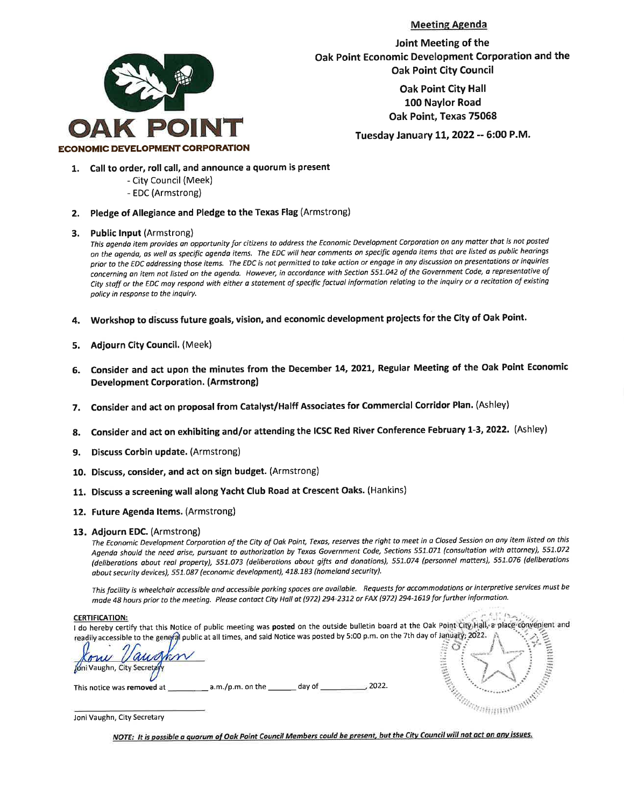**Meeting Agenda** 



Joint Meeting of the Oak Point Economic Development Corporation and the **Oak Point City Council** 

> **Oak Point City Hall** 100 Naylor Road Oak Point, Texas 75068

Tuesday January 11, 2022 -- 6:00 P.M.

- 1. Call to order, roll call, and announce a quorum is present
	- City Council (Meek)
	- EDC (Armstrong)
- 2. Pledge of Allegiance and Pledge to the Texas Flag (Armstrong)
- 3. Public Input (Armstrong)

This agenda item provides an opportunity for citizens to address the Economic Development Corporation on any matter that is not posted on the agenda, as well as specific agenda items. The EDC will hear comments on specific agenda items that are listed as public hearings prior to the EDC addressing those items. The EDC is not permitted to take action or engage in any discussion on presentations or inquiries concerning an item not listed on the agenda. However, in accordance with Section 551.042 of the Government Code, a representative of City staff or the EDC may respond with either a statement of specific factual information relating to the inquiry or a recitation of existing policy in response to the inquiry.

- Workshop to discuss future goals, vision, and economic development projects for the City of Oak Point.  $\mathbf{A}$ .
- **Adjourn City Council. (Meek)** 5.
- Consider and act upon the minutes from the December 14, 2021, Regular Meeting of the Oak Point Economic 6. **Development Corporation. (Armstrong)**
- 7. Consider and act on proposal from Catalyst/Halff Associates for Commercial Corridor Plan. (Ashley)
- Consider and act on exhibiting and/or attending the ICSC Red River Conference February 1-3, 2022. (Ashley) 8.
- 9. Discuss Corbin update. (Armstrong)
- 10. Discuss, consider, and act on sign budget. (Armstrong)
- 11. Discuss a screening wall along Yacht Club Road at Crescent Oaks. (Hankins)
- 12. Future Agenda Items. (Armstrong)

#### 13. Adjourn EDC. (Armstrong)

The Economic Development Corporation of the City of Oak Point, Texas, reserves the right to meet in a Closed Session on any item listed on this Agenda should the need arise, pursuant to authorization by Texas Government Code, Sections 551.071 (consultation with attorney), 551.072 (deliberations about real property), 551.073 (deliberations about gifts and donations), 551.074 (personnel matters), 551.076 (deliberations about security devices), 551.087 (economic development), 418.183 (homeland security).

This facility is wheelchair accessible and accessible parking spaces are available. Requests for accommodations or interpretive services must be made 48 hours prior to the meeting. Please contact City Hall at (972) 294-2312 or FAX (972) 294-1619 for further information.

#### **CERTIFICATION:**

I do hereby certify that this Notice of public meeting was posted on the outside bulletin board at the Oak Point City Hall, a place convenient and readily accessible to the general public at all times, and said Notice was posted by 5:00 p.m. on the 7th day of January; 2022.

Jóni Vaughn, City Secretz

, 2022. This notice was removed at \_  $\_$  a.m./p.m. on the  $\_$ day of \_\_

A CONSTRUCTION OF THE REAL PROPERTY AND REAL PROPERTY. **CONTRACTOR** G

Joni Vaughn, City Secretary

NOTE: It is possible a quorum of Oak Point Council Members could be present, but the City Council will not act on any issues.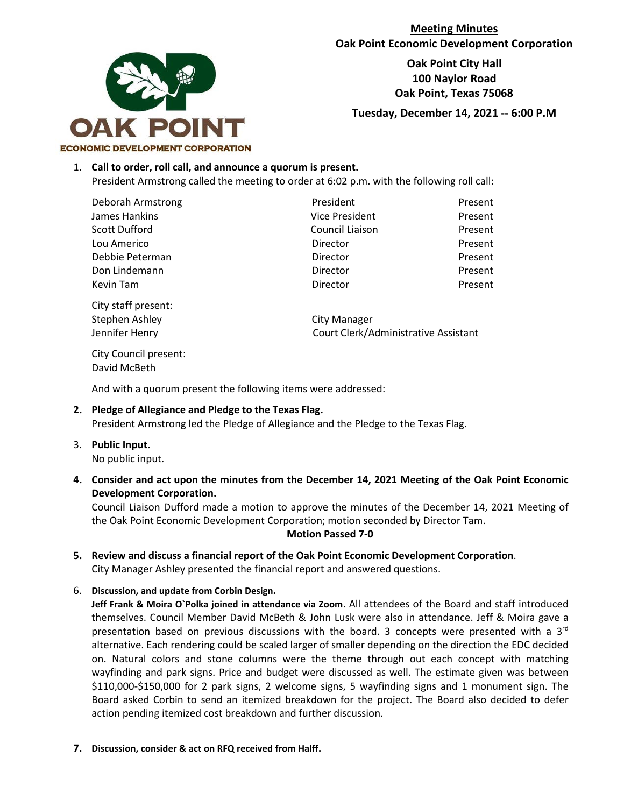

**Meeting Minutes Oak Point Economic Development Corporation**

> **Oak Point City Hall 100 Naylor Road Oak Point, Texas 75068**

**Tuesday, December 14, 2021 -- 6:00 P.M**

#### 1. **Call to order, roll call, and announce a quorum is present.**

President Armstrong called the meeting to order at 6:02 p.m. with the following roll call:

Deborah Armstrong President Present James Hankins Vice President Present Scott Dufford Council Liaison Present Lou Americo Director Present Debbie Peterman Director Present Don Lindemann Director Present Kevin Tam **Director Present** 

City staff present: Stephen Ashley **City Manager** 

Jennifer Henry Court Clerk/Administrative Assistant

City Council present: David McBeth

And with a quorum present the following items were addressed:

### **2. Pledge of Allegiance and Pledge to the Texas Flag.** President Armstrong led the Pledge of Allegiance and the Pledge to the Texas Flag.

- 3. **Public Input.** No public input.
- **4. Consider and act upon the minutes from the December 14, 2021 Meeting of the Oak Point Economic Development Corporation.**

Council Liaison Dufford made a motion to approve the minutes of the December 14, 2021 Meeting of the Oak Point Economic Development Corporation; motion seconded by Director Tam.

#### **Motion Passed 7-0**

- **5. Review and discuss a financial report of the Oak Point Economic Development Corporation**. City Manager Ashley presented the financial report and answered questions.
- 6. **Discussion, and update from Corbin Design.**

**Jeff Frank & Moira O`Polka joined in attendance via Zoom**. All attendees of the Board and staff introduced themselves. Council Member David McBeth & John Lusk were also in attendance. Jeff & Moira gave a presentation based on previous discussions with the board. 3 concepts were presented with a  $3<sup>rd</sup>$ alternative. Each rendering could be scaled larger of smaller depending on the direction the EDC decided on. Natural colors and stone columns were the theme through out each concept with matching wayfinding and park signs. Price and budget were discussed as well. The estimate given was between \$110,000-\$150,000 for 2 park signs, 2 welcome signs, 5 wayfinding signs and 1 monument sign. The Board asked Corbin to send an itemized breakdown for the project. The Board also decided to defer action pending itemized cost breakdown and further discussion.

**7. Discussion, consider & act on RFQ received from Halff.**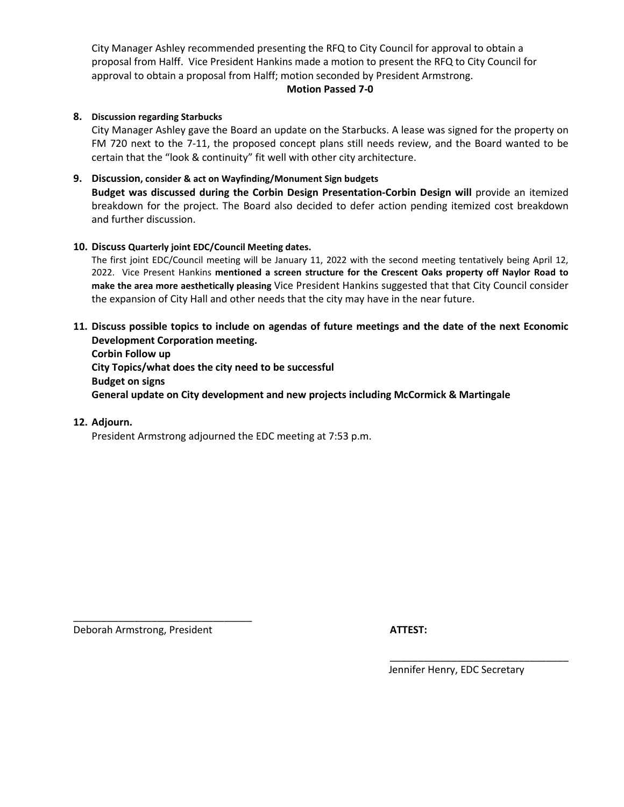City Manager Ashley recommended presenting the RFQ to City Council for approval to obtain a proposal from Halff. Vice President Hankins made a motion to present the RFQ to City Council for approval to obtain a proposal from Halff; motion seconded by President Armstrong.

#### **Motion Passed 7-0**

#### **8. Discussion regarding Starbucks**

City Manager Ashley gave the Board an update on the Starbucks. A lease was signed for the property on FM 720 next to the 7-11, the proposed concept plans still needs review, and the Board wanted to be certain that the "look & continuity" fit well with other city architecture.

### **9. Discussion, consider & act on Wayfinding/Monument Sign budgets**

**Budget was discussed during the Corbin Design Presentation-Corbin Design will** provide an itemized breakdown for the project. The Board also decided to defer action pending itemized cost breakdown and further discussion.

#### **10. Discuss Quarterly joint EDC/Council Meeting dates.**

The first joint EDC/Council meeting will be January 11, 2022 with the second meeting tentatively being April 12, 2022. Vice Present Hankins **mentioned a screen structure for the Crescent Oaks property off Naylor Road to make the area more aesthetically pleasing** Vice President Hankins suggested that that City Council consider the expansion of City Hall and other needs that the city may have in the near future.

### **11. Discuss possible topics to include on agendas of future meetings and the date of the next Economic Development Corporation meeting.**

**Corbin Follow up City Topics/what does the city need to be successful Budget on signs General update on City development and new projects including McCormick & Martingale** 

#### **12. Adjourn.**

President Armstrong adjourned the EDC meeting at 7:53 p.m.

Deborah Armstrong, President **ATTEST:**

\_\_\_\_\_\_\_\_\_\_\_\_\_\_\_\_\_\_\_\_\_\_\_\_\_\_\_\_\_\_\_\_

Jennifer Henry, EDC Secretary

\_\_\_\_\_\_\_\_\_\_\_\_\_\_\_\_\_\_\_\_\_\_\_\_\_\_\_\_\_\_\_\_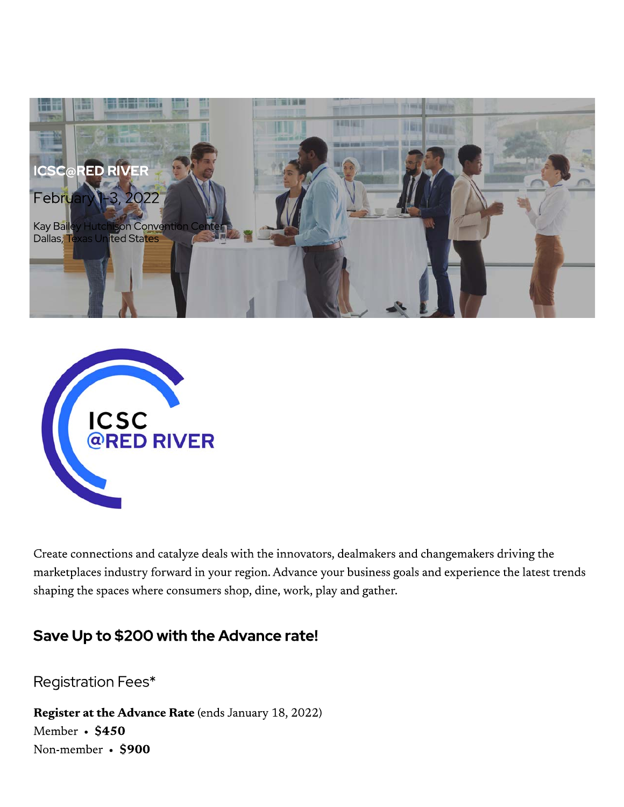



Create connections and catalyze deals with the innovators, dealmakers and changemakers driving the marketplaces industry forward in your region. Advance your business goals and experience the latest trends shaping the spaces where consumers shop, dine, work, play and gather.

# Save Up to \$200 with the Advance rate!

Registration Fees\*

Register at the Advance Rate (ends January 18, 2022) Member • \$450 Non-member • \$900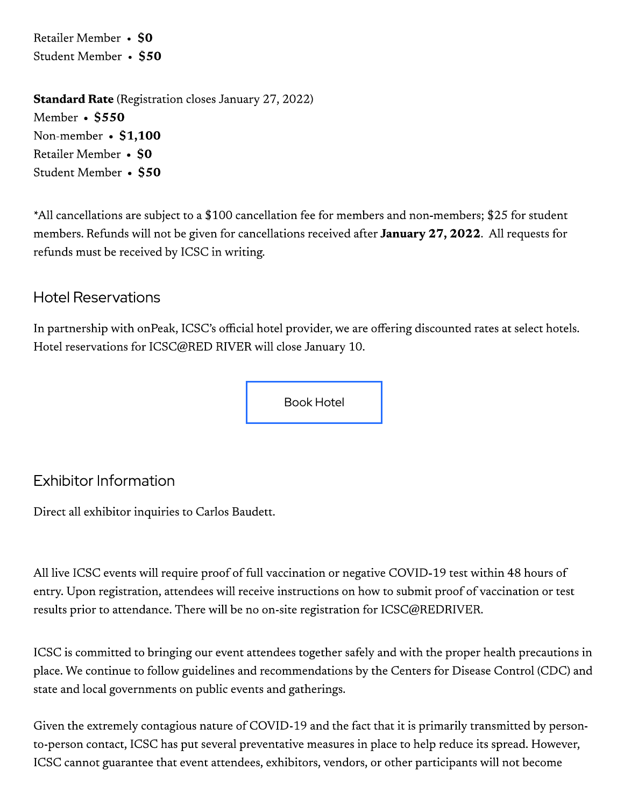Retailer Member • \$0 Student Member • \$50

**Standard Rate** (Registration closes January 27, 2022) Member • \$550 Non-member • \$1,100 Retailer Member • \$0 Student Member • \$50

\*All cancellations are subject to a \$100 cancellation fee for members and non-members; \$25 for student members. Refunds will not be given for cancellations received after January 27, 2022. All requests for refunds must be received by ICSC in writing.

## **Hotel Reservations**

In partnership with onPeak, ICSC's official hotel provider, we are offering discounted rates at select hotels. Hotel reservations for ICSC@RED RIVER will close January 10.

**Book Hotel** 

# **Exhibitor Information**

Direct all exhibitor inquiries to Carlos Baudett.

All live ICSC events will require proof of full vaccination or negative COVID-19 test within 48 hours of entry. Upon registration, attendees will receive instructions on how to submit proof of vaccination or test results prior to attendance. There will be no on-site registration for ICSC@REDRIVER.

ICSC is committed to bringing our event attendees together safely and with the proper health precautions in place. We continue to follow guidelines and recommendations by the Centers for Disease Control (CDC) and state and local governments on public events and gatherings.

Given the extremely contagious nature of COVID-19 and the fact that it is primarily transmitted by personto-person contact, ICSC has put several preventative measures in place to help reduce its spread. However, ICSC cannot guarantee that event attendees, exhibitors, vendors, or other participants will not become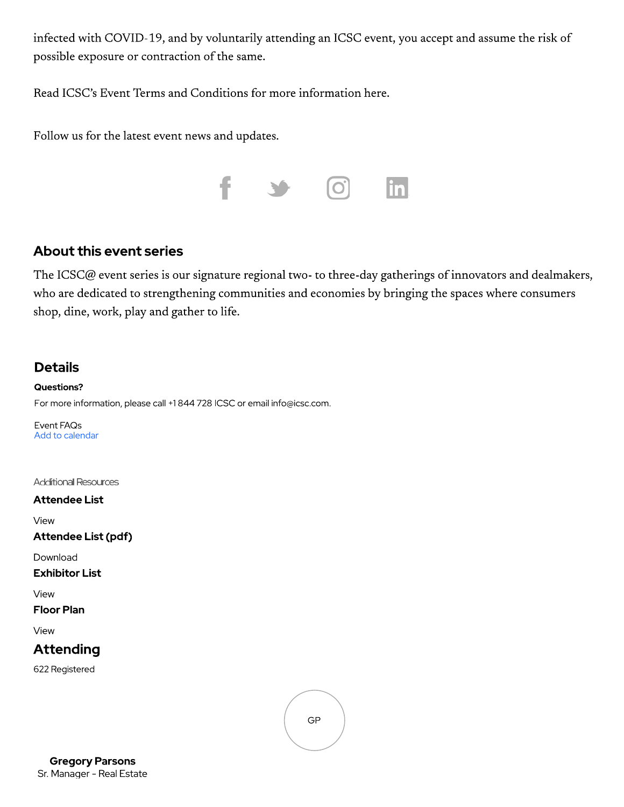infected with COVID-19, and by voluntarily attending an ICSC event, you accept and assume the risk of possible exposure or contraction of the same.

Read ICSC's Event Terms and Conditions for more information here.

Follow us for the latest event news and updates.



## **About this event series**

The ICSC@ event series is our signature regional two- to three-day gatherings of innovators and dealmakers, who are dedicated to strengthening communities and economies by bringing the spaces where consumers shop, dine, work, play and gather to life.

## **Details**

**Questions?** For more information, please call +1 844 728 ICSC or email info@icsc.com.

Event FAQs Add to calendar

Additional Resources

#### **Attendee List**

View

Attendee List (pdf)

Download

**Exhibitor List** 

View

### **Floor Plan**

View

## **Attending**

622 Registered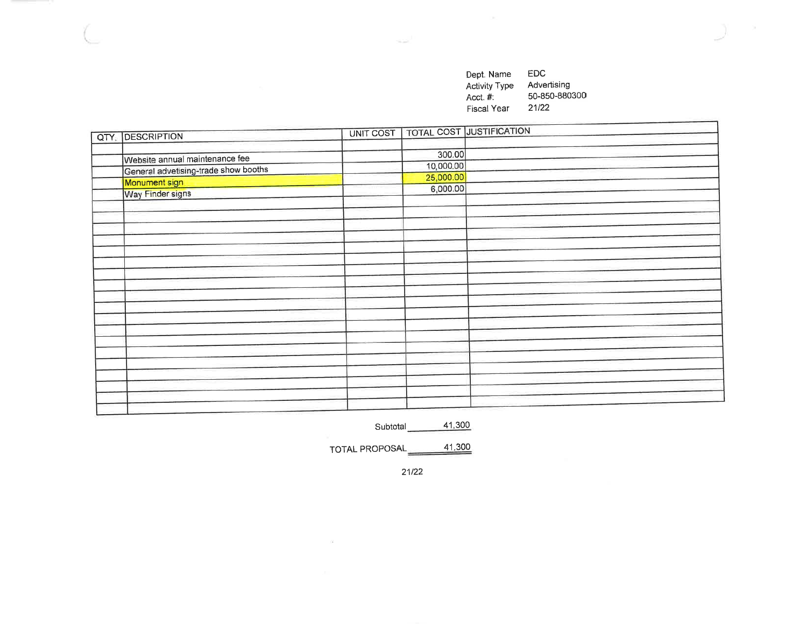EDC Dept. Name Activity Type<br>Acct. #: Advertising 50-850-880300  $21/22$ Fiscal Year

| QTY. DESCRIPTION                     | UNIT COST |           | <b>TOTAL COST JUSTIFICATION</b> |
|--------------------------------------|-----------|-----------|---------------------------------|
|                                      |           |           |                                 |
| Website annual maintenance fee       |           | 300.00    |                                 |
| General advetising-trade show booths |           | 10,000.00 |                                 |
|                                      |           | 25,000.00 |                                 |
| Monument sign                        |           | 6,000.00  |                                 |
| Way Finder signs                     |           |           |                                 |
|                                      |           |           |                                 |
|                                      |           |           |                                 |
|                                      |           |           |                                 |
|                                      |           |           |                                 |
|                                      |           |           |                                 |
|                                      |           |           |                                 |
|                                      |           |           |                                 |
|                                      |           |           |                                 |
|                                      |           |           |                                 |
|                                      |           |           |                                 |
|                                      |           |           |                                 |
|                                      |           |           |                                 |
|                                      |           |           |                                 |
|                                      |           |           |                                 |
|                                      |           |           |                                 |
|                                      |           |           |                                 |
|                                      |           |           |                                 |
|                                      |           |           |                                 |
|                                      |           |           |                                 |
|                                      |           |           |                                 |

41,300 Subtotal

TOTAL PROPOSAL 41,300

 $21/22$